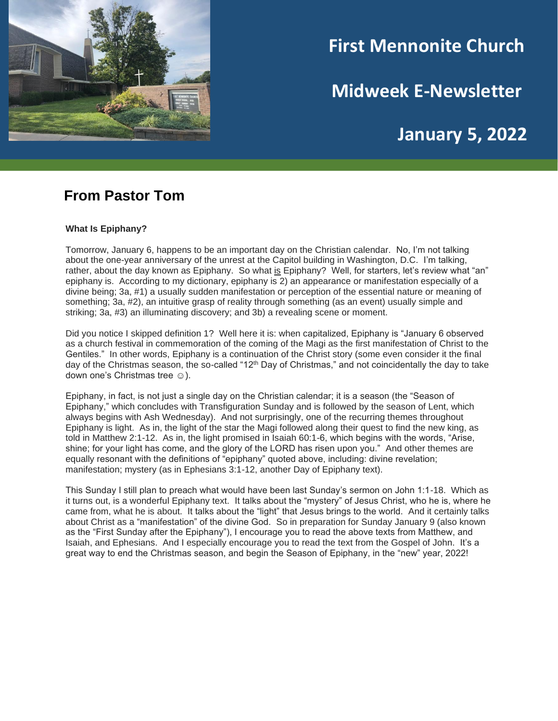

# **First Mennonite Church**

**Midweek E-Newsletter**

# **January 5, 2022**

## **From Pastor Tom**

#### **What Is Epiphany?**

Tomorrow, January 6, happens to be an important day on the Christian calendar. No, I'm not talking about the one-year anniversary of the unrest at the Capitol building in Washington, D.C. I'm talking, rather, about the day known as Epiphany. So what is Epiphany? Well, for starters, let's review what "an" epiphany is. According to my dictionary, epiphany is 2) an appearance or manifestation especially of a divine being; 3a, #1) a usually sudden manifestation or perception of the essential nature or meaning of something; 3a, #2), an intuitive grasp of reality through something (as an event) usually simple and striking; 3a, #3) an illuminating discovery; and 3b) a revealing scene or moment.

Did you notice I skipped definition 1? Well here it is: when capitalized, Epiphany is "January 6 observed as a church festival in commemoration of the coming of the Magi as the first manifestation of Christ to the Gentiles." In other words, Epiphany is a continuation of the Christ story (some even consider it the final dav of the Christmas season, the so-called "12<sup>th</sup> Day of Christmas," and not coincidentally the day to take down one's Christmas tree ☺).

Epiphany, in fact, is not just a single day on the Christian calendar; it is a season (the "Season of Epiphany," which concludes with Transfiguration Sunday and is followed by the season of Lent, which always begins with Ash Wednesday). And not surprisingly, one of the recurring themes throughout Epiphany is light. As in, the light of the star the Magi followed along their quest to find the new king, as told in Matthew 2:1-12. As in, the light promised in Isaiah 60:1-6, which begins with the words, "Arise, shine; for your light has come, and the glory of the LORD has risen upon you." And other themes are equally resonant with the definitions of "epiphany" quoted above, including: divine revelation; manifestation; mystery (as in Ephesians 3:1-12, another Day of Epiphany text).

This Sunday I still plan to preach what would have been last Sunday's sermon on John 1:1-18. Which as it turns out, is a wonderful Epiphany text. It talks about the "mystery" of Jesus Christ, who he is, where he came from, what he is about. It talks about the "light" that Jesus brings to the world. And it certainly talks about Christ as a "manifestation" of the divine God. So in preparation for Sunday January 9 (also known as the "First Sunday after the Epiphany"), I encourage you to read the above texts from Matthew, and Isaiah, and Ephesians. And I especially encourage you to read the text from the Gospel of John. It's a great way to end the Christmas season, and begin the Season of Epiphany, in the "new" year, 2022!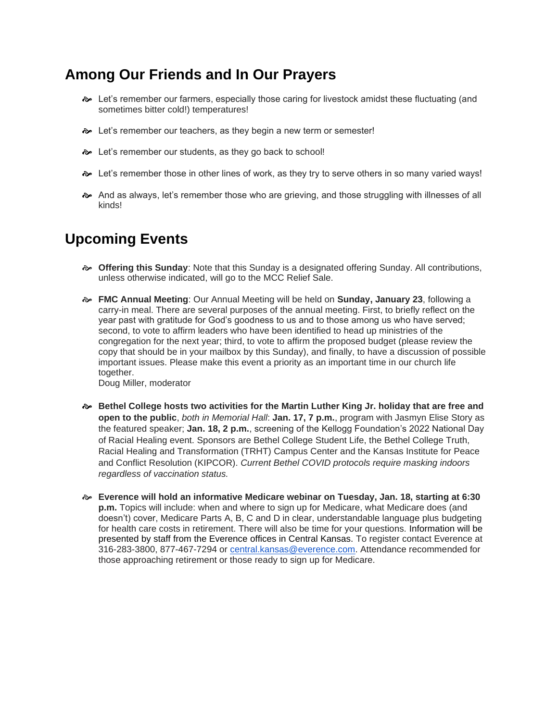# **Among Our Friends and In Our Prayers**

- $\sim$  Let's remember our farmers, especially those caring for livestock amidst these fluctuating (and sometimes bitter cold!) temperatures!
- $\approx$  Let's remember our teachers, as they begin a new term or semester!
- Let's remember our students, as they go back to school!
- $\sim$  Let's remember those in other lines of work, as they try to serve others in so many varied ways!
- And as always, let's remember those who are grieving, and those struggling with illnesses of all kinds!

# **Upcoming Events**

- **Offering this Sunday**: Note that this Sunday is a designated offering Sunday. All contributions, unless otherwise indicated, will go to the MCC Relief Sale.
- **FMC Annual Meeting**: Our Annual Meeting will be held on **Sunday, January 23**, following a carry-in meal. There are several purposes of the annual meeting. First, to briefly reflect on the year past with gratitude for God's goodness to us and to those among us who have served; second, to vote to affirm leaders who have been identified to head up ministries of the congregation for the next year; third, to vote to affirm the proposed budget (please review the copy that should be in your mailbox by this Sunday), and finally, to have a discussion of possible important issues. Please make this event a priority as an important time in our church life together.

Doug Miller, moderator

- **Bethel College hosts two activities for the Martin Luther King Jr. holiday that are free and open to the public**, *both in Memorial Hall*: **Jan. 17, 7 p.m.**, program with Jasmyn Elise Story as the featured speaker; **Jan. 18, 2 p.m.**, screening of the Kellogg Foundation's 2022 National Day of Racial Healing event. Sponsors are Bethel College Student Life, the Bethel College Truth, Racial Healing and Transformation (TRHT) Campus Center and the Kansas Institute for Peace and Conflict Resolution (KIPCOR). *Current Bethel COVID protocols require masking indoors regardless of vaccination status.*
- **Everence will hold an informative Medicare webinar on Tuesday, Jan. 18, starting at 6:30 p.m.** Topics will include: when and where to sign up for Medicare, what Medicare does (and doesn't) cover, Medicare Parts A, B, C and D in clear, understandable language plus budgeting for health care costs in retirement. There will also be time for your questions. Information will be presented by staff from the Everence offices in Central Kansas. To register contact Everence at 316-283-3800, 877-467-7294 or [central.kansas@everence.com.](mailto:central.kansas@everence.com) Attendance recommended for those approaching retirement or those ready to sign up for Medicare.